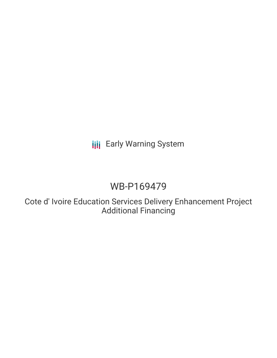**III** Early Warning System

# WB-P169479

Cote d' Ivoire Education Services Delivery Enhancement Project Additional Financing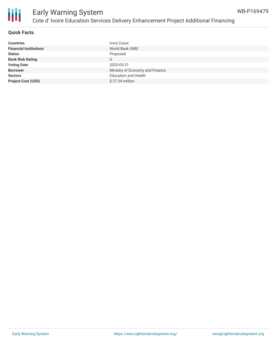



### Early Warning System Cote d' Ivoire Education Services Delivery Enhancement Project Additional Financing

#### **Quick Facts**

| <b>Countries</b>              | Ivory Coast                     |
|-------------------------------|---------------------------------|
| <b>Financial Institutions</b> | World Bank (WB)                 |
| <b>Status</b>                 | Proposed                        |
| <b>Bank Risk Rating</b>       | U                               |
| <b>Voting Date</b>            | 2020-03-31                      |
| <b>Borrower</b>               | Ministry of Economy and Finance |
| <b>Sectors</b>                | <b>Education and Health</b>     |
| <b>Project Cost (USD)</b>     | $$27.34$ million                |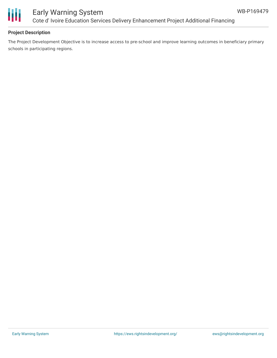

### Early Warning System Cote d' Ivoire Education Services Delivery Enhancement Project Additional Financing

### **Project Description**

The Project Development Objective is to increase access to pre-school and improve learning outcomes in beneficiary primary schools in participating regions.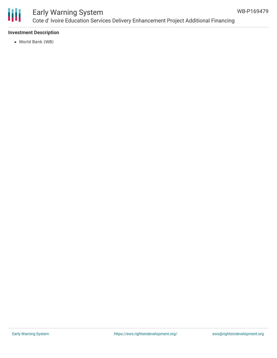

### Early Warning System Cote d' Ivoire Education Services Delivery Enhancement Project Additional Financing

### **Investment Description**

World Bank (WB)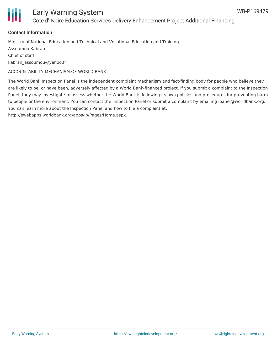

#### **Contact Information**

Ministry of National Education and Technical and Vocational Education and Training Assoumou Kabran Chief of staff kabran\_assoumou@yahoo.fr

ACCOUNTABILITY MECHANISM OF WORLD BANK

The World Bank Inspection Panel is the independent complaint mechanism and fact-finding body for people who believe they are likely to be, or have been, adversely affected by a World Bank-financed project. If you submit a complaint to the Inspection Panel, they may investigate to assess whether the World Bank is following its own policies and procedures for preventing harm to people or the environment. You can contact the Inspection Panel or submit a complaint by emailing ipanel@worldbank.org. You can learn more about the Inspection Panel and how to file a complaint at:

http://ewebapps.worldbank.org/apps/ip/Pages/Home.aspx.